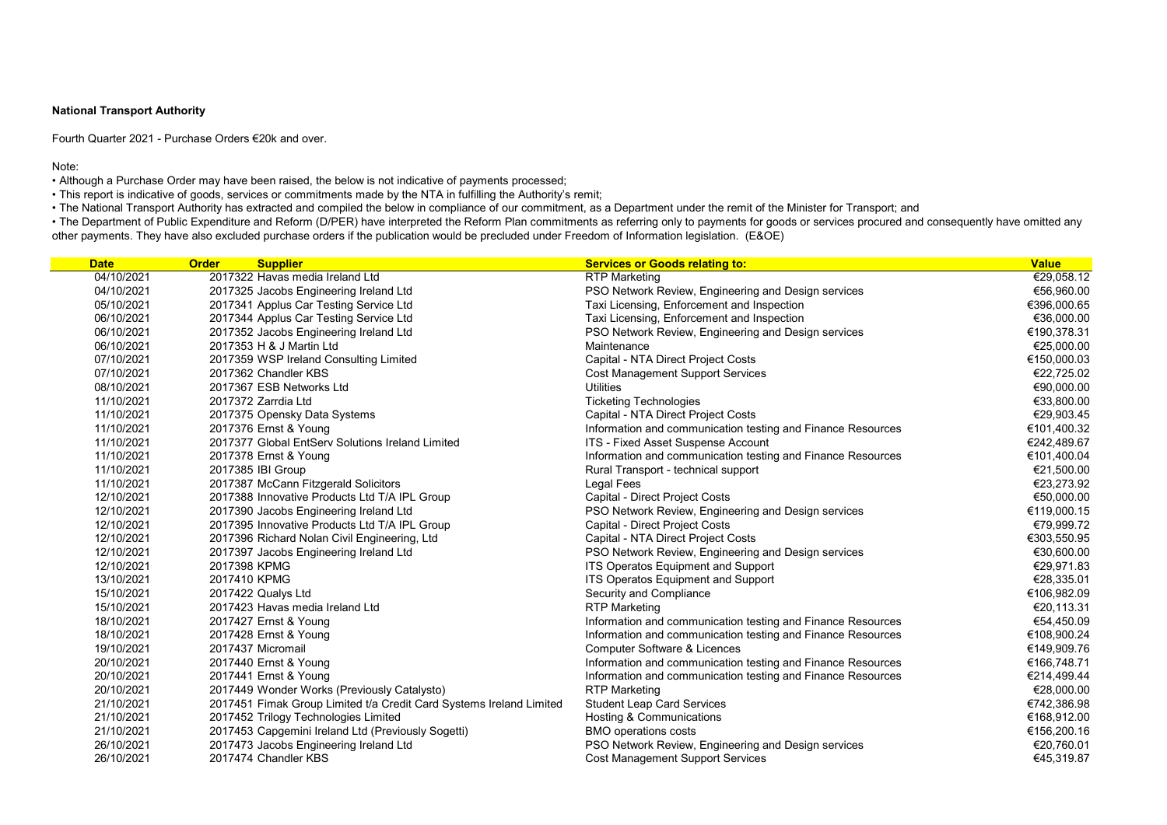| <b>Date</b> | <b>Supplier</b><br><b>Order</b>                                     | <b>Services or Goods relating to:</b>                       | <b>Value</b> |
|-------------|---------------------------------------------------------------------|-------------------------------------------------------------|--------------|
| 04/10/2021  | 2017322 Havas media Ireland Ltd                                     | <b>RTP Marketing</b>                                        | €29,058.12   |
| 04/10/2021  | 2017325 Jacobs Engineering Ireland Ltd                              | PSO Network Review, Engineering and Design services         | €56,960.00   |
| 05/10/2021  | 2017341 Applus Car Testing Service Ltd                              | Taxi Licensing, Enforcement and Inspection                  | €396,000.65  |
| 06/10/2021  | 2017344 Applus Car Testing Service Ltd                              | Taxi Licensing, Enforcement and Inspection                  | €36,000.00   |
| 06/10/2021  | 2017352 Jacobs Engineering Ireland Ltd                              | PSO Network Review, Engineering and Design services         | €190,378.31  |
| 06/10/2021  | 2017353 H & J Martin Ltd                                            | Maintenance                                                 | €25,000.00   |
| 07/10/2021  | 2017359 WSP Ireland Consulting Limited                              | Capital - NTA Direct Project Costs                          | €150,000.03  |
| 07/10/2021  | 2017362 Chandler KBS                                                | <b>Cost Management Support Services</b>                     | €22,725.02   |
| 08/10/2021  | 2017367 ESB Networks Ltd                                            | <b>Utilities</b>                                            | €90,000.00   |
| 11/10/2021  | 2017372 Zarrdia Ltd                                                 | <b>Ticketing Technologies</b>                               | €33,800.00   |
| 11/10/2021  | 2017375 Opensky Data Systems                                        | Capital - NTA Direct Project Costs                          | €29,903.45   |
| 11/10/2021  | 2017376 Ernst & Young                                               | Information and communication testing and Finance Resources | €101,400.32  |
| 11/10/2021  | 2017377 Global EntServ Solutions Ireland Limited                    | ITS - Fixed Asset Suspense Account                          | €242,489.67  |
| 11/10/2021  | 2017378 Ernst & Young                                               | Information and communication testing and Finance Resources | €101,400.04  |
| 11/10/2021  | 2017385 IBI Group                                                   | Rural Transport - technical support                         | €21,500.00   |
| 11/10/2021  | 2017387 McCann Fitzgerald Solicitors                                | Legal Fees                                                  | €23,273.92   |
| 12/10/2021  | 2017388 Innovative Products Ltd T/A IPL Group                       | Capital - Direct Project Costs                              | €50,000.00   |
| 12/10/2021  | 2017390 Jacobs Engineering Ireland Ltd                              | PSO Network Review, Engineering and Design services         | €119,000.15  |
| 12/10/2021  | 2017395 Innovative Products Ltd T/A IPL Group                       | Capital - Direct Project Costs                              | €79,999.72   |
| 12/10/2021  | 2017396 Richard Nolan Civil Engineering, Ltd                        | Capital - NTA Direct Project Costs                          | €303,550.95  |
| 12/10/2021  | 2017397 Jacobs Engineering Ireland Ltd                              | PSO Network Review, Engineering and Design services         | €30,600.00   |
| 12/10/2021  | 2017398 KPMG                                                        | <b>ITS Operatos Equipment and Support</b>                   | €29,971.83   |
| 13/10/2021  | 2017410 KPMG                                                        | <b>ITS Operatos Equipment and Support</b>                   | €28,335.01   |
| 15/10/2021  | 2017422 Qualys Ltd                                                  | Security and Compliance                                     | €106,982.09  |
| 15/10/2021  | 2017423 Havas media Ireland Ltd                                     | <b>RTP Marketing</b>                                        | €20,113.31   |
| 18/10/2021  | 2017427 Ernst & Young                                               | Information and communication testing and Finance Resources | €54,450.09   |
| 18/10/2021  | 2017428 Ernst & Young                                               | Information and communication testing and Finance Resources | €108,900.24  |
| 19/10/2021  | 2017437 Micromail                                                   | <b>Computer Software &amp; Licences</b>                     | €149,909.76  |
| 20/10/2021  | 2017440 Ernst & Young                                               | Information and communication testing and Finance Resources | €166,748.71  |
| 20/10/2021  | 2017441 Ernst & Young                                               | Information and communication testing and Finance Resources | €214,499.44  |
| 20/10/2021  | 2017449 Wonder Works (Previously Catalysto)                         | <b>RTP Marketing</b>                                        | €28,000.00   |
| 21/10/2021  | 2017451 Fimak Group Limited t/a Credit Card Systems Ireland Limited | <b>Student Leap Card Services</b>                           | €742,386.98  |
| 21/10/2021  | 2017452 Trilogy Technologies Limited                                | Hosting & Communications                                    | €168,912.00  |
| 21/10/2021  | 2017453 Capgemini Ireland Ltd (Previously Sogetti)                  | <b>BMO operations costs</b>                                 | €156,200.16  |
| 26/10/2021  | 2017473 Jacobs Engineering Ireland Ltd                              | PSO Network Review, Engineering and Design services         | €20,760.01   |
| 26/10/2021  | 2017474 Chandler KBS                                                | <b>Cost Management Support Services</b>                     | €45,319.87   |

• The Department of Public Expenditure and Reform (D/PER) have interpreted the Reform Plan commitments as referring only to payments for goods or services procured and consequently have omitted any other payments. They have also excluded purchase orders if the publication would be precluded under Freedom of Information legislation. (E&OE)

# National Transport Authority

Fourth Quarter 2021 - Purchase Orders €20k and over.

Note:

• Although a Purchase Order may have been raised, the below is not indicative of payments processed;

• This report is indicative of goods, services or commitments made by the NTA in fulfilling the Authority's remit;

• The National Transport Authority has extracted and compiled the below in compliance of our commitment, as a Department under the remit of the Minister for Transport; and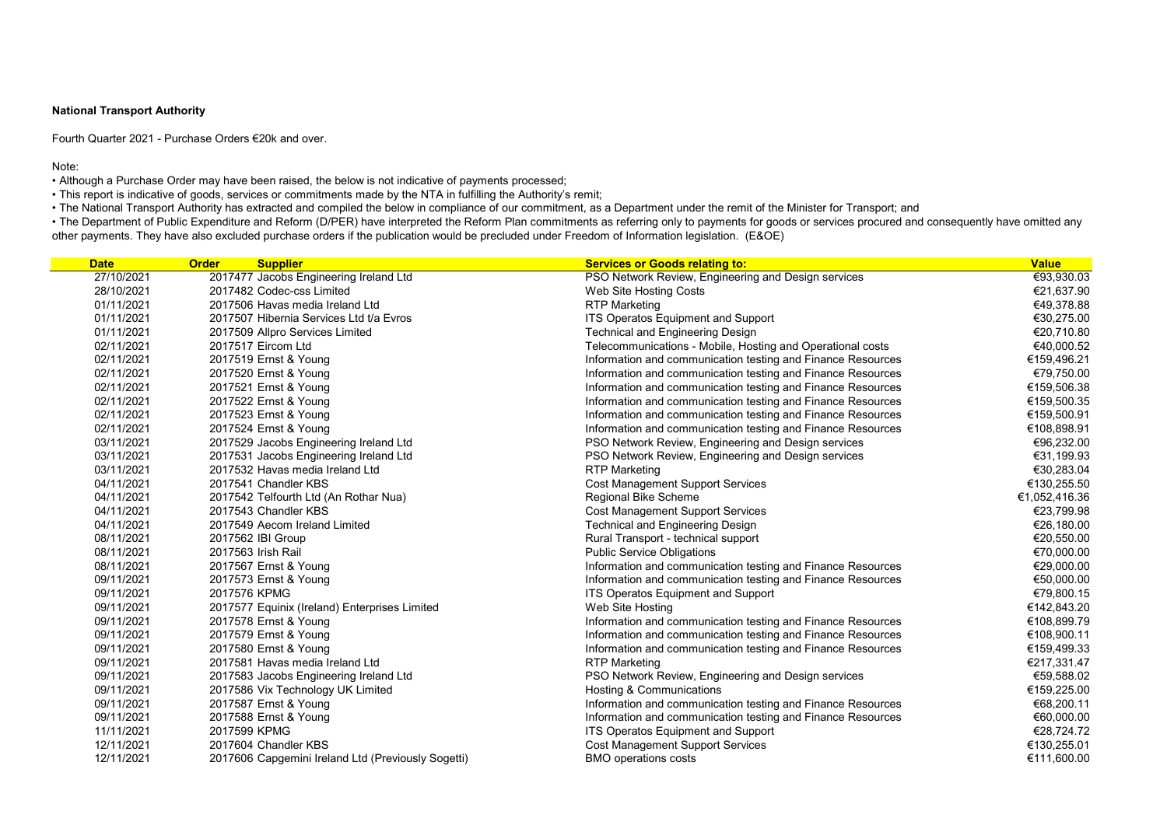## National Transport Authority

Fourth Quarter 2021 - Purchase Orders €20k and over.

Note:

• Although a Purchase Order may have been raised, the below is not indicative of payments processed;

• This report is indicative of goods, services or commitments made by the NTA in fulfilling the Authority's remit;

• The National Transport Authority has extracted and compiled the below in compliance of our commitment, as a Department under the remit of the Minister for Transport; and

• The Department of Public Expenditure and Reform (D/PER) have interpreted the Reform Plan commitments as referring only to payments for goods or services procured and consequently have omitted any other payments. They have also excluded purchase orders if the publication would be precluded under Freedom of Information legislation. (E&OE)

| <b>Date</b> | <b>Order</b><br><b>Supplier</b>                    | <b>Services or Goods relating to:</b>                       | <b>Value</b>  |
|-------------|----------------------------------------------------|-------------------------------------------------------------|---------------|
| 27/10/2021  | 2017477 Jacobs Engineering Ireland Ltd             | PSO Network Review, Engineering and Design services         | €93,930.03    |
| 28/10/2021  | 2017482 Codec-css Limited                          | Web Site Hosting Costs                                      | €21,637.90    |
| 01/11/2021  | 2017506 Havas media Ireland Ltd                    | <b>RTP Marketing</b>                                        | €49,378.88    |
| 01/11/2021  | 2017507 Hibernia Services Ltd t/a Evros            | <b>ITS Operatos Equipment and Support</b>                   | €30,275.00    |
| 01/11/2021  | 2017509 Allpro Services Limited                    | <b>Technical and Engineering Design</b>                     | €20,710.80    |
| 02/11/2021  | 2017517 Eircom Ltd                                 | Telecommunications - Mobile, Hosting and Operational costs  | €40,000.52    |
| 02/11/2021  | 2017519 Ernst & Young                              | Information and communication testing and Finance Resources | €159,496.21   |
| 02/11/2021  | 2017520 Ernst & Young                              | Information and communication testing and Finance Resources | €79,750.00    |
| 02/11/2021  | 2017521 Ernst & Young                              | Information and communication testing and Finance Resources | €159,506.38   |
| 02/11/2021  | 2017522 Ernst & Young                              | Information and communication testing and Finance Resources | €159,500.35   |
| 02/11/2021  | 2017523 Ernst & Young                              | Information and communication testing and Finance Resources | €159,500.91   |
| 02/11/2021  | 2017524 Ernst & Young                              | Information and communication testing and Finance Resources | €108,898.91   |
| 03/11/2021  | 2017529 Jacobs Engineering Ireland Ltd             | PSO Network Review, Engineering and Design services         | €96,232.00    |
| 03/11/2021  | 2017531 Jacobs Engineering Ireland Ltd             | PSO Network Review, Engineering and Design services         | €31,199.93    |
| 03/11/2021  | 2017532 Havas media Ireland Ltd                    | <b>RTP Marketing</b>                                        | €30,283.04    |
| 04/11/2021  | 2017541 Chandler KBS                               | <b>Cost Management Support Services</b>                     | €130,255.50   |
| 04/11/2021  | 2017542 Telfourth Ltd (An Rothar Nua)              | <b>Regional Bike Scheme</b>                                 | €1,052,416.36 |
| 04/11/2021  | 2017543 Chandler KBS                               | <b>Cost Management Support Services</b>                     | €23,799.98    |
| 04/11/2021  | 2017549 Aecom Ireland Limited                      | <b>Technical and Engineering Design</b>                     | €26,180.00    |
| 08/11/2021  | 2017562 IBI Group                                  | Rural Transport - technical support                         | €20,550.00    |
| 08/11/2021  | 2017563 Irish Rail                                 | <b>Public Service Obligations</b>                           | €70,000.00    |
| 08/11/2021  | 2017567 Ernst & Young                              | Information and communication testing and Finance Resources | €29,000.00    |
| 09/11/2021  | 2017573 Ernst & Young                              | Information and communication testing and Finance Resources | €50,000.00    |
| 09/11/2021  | 2017576 KPMG                                       | <b>ITS Operatos Equipment and Support</b>                   | €79,800.15    |
| 09/11/2021  | 2017577 Equinix (Ireland) Enterprises Limited      | Web Site Hosting                                            | €142,843.20   |
| 09/11/2021  | 2017578 Ernst & Young                              | Information and communication testing and Finance Resources | €108,899.79   |
| 09/11/2021  | 2017579 Ernst & Young                              | Information and communication testing and Finance Resources | €108,900.11   |
| 09/11/2021  | 2017580 Ernst & Young                              | Information and communication testing and Finance Resources | €159,499.33   |
| 09/11/2021  | 2017581 Havas media Ireland Ltd                    | <b>RTP Marketing</b>                                        | €217,331.47   |
| 09/11/2021  | 2017583 Jacobs Engineering Ireland Ltd             | PSO Network Review, Engineering and Design services         | €59,588.02    |
| 09/11/2021  | 2017586 Vix Technology UK Limited                  | Hosting & Communications                                    | €159,225.00   |
| 09/11/2021  | 2017587 Ernst & Young                              | Information and communication testing and Finance Resources | €68,200.11    |
| 09/11/2021  | 2017588 Ernst & Young                              | Information and communication testing and Finance Resources | €60,000.00    |
| 11/11/2021  | 2017599 KPMG                                       | <b>ITS Operatos Equipment and Support</b>                   | €28,724.72    |
| 12/11/2021  | 2017604 Chandler KBS                               | <b>Cost Management Support Services</b>                     | €130,255.01   |
| 12/11/2021  | 2017606 Capgemini Ireland Ltd (Previously Sogetti) | <b>BMO operations costs</b>                                 | €111,600.00   |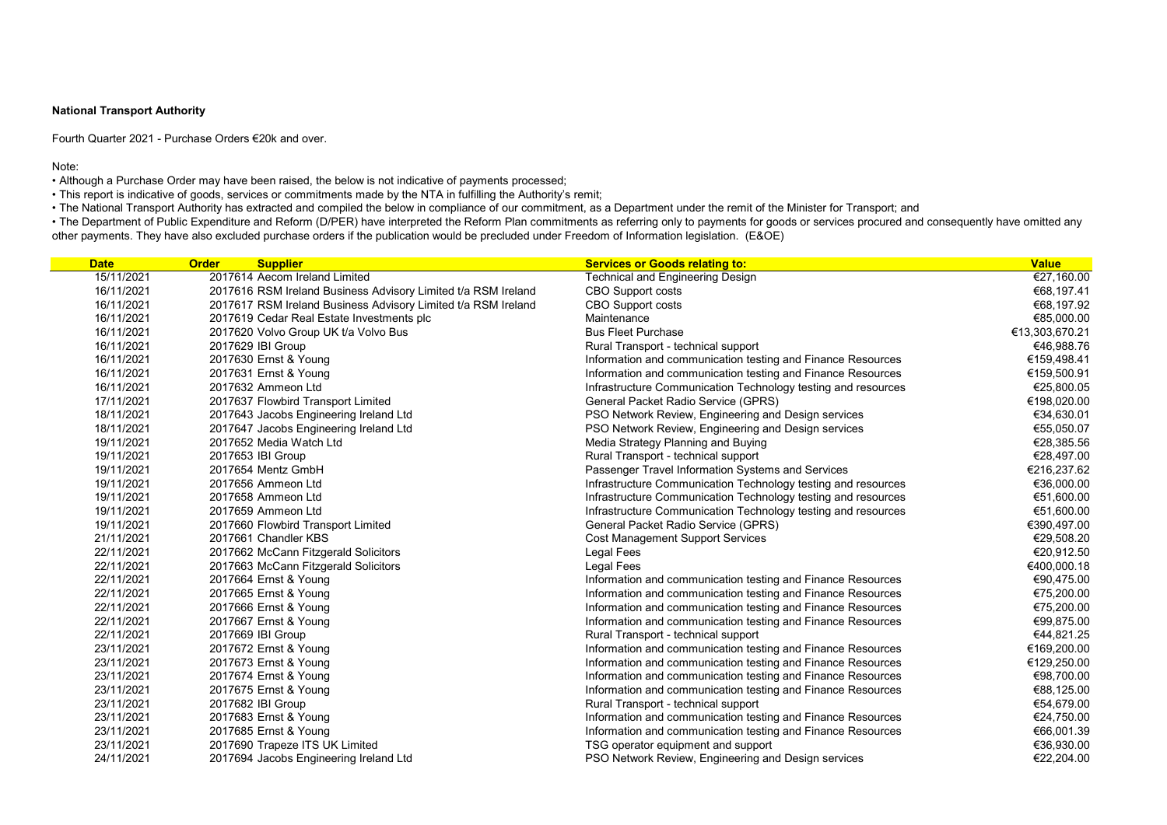## National Transport Authority

Fourth Quarter 2021 - Purchase Orders €20k and over.

Note:

• Although a Purchase Order may have been raised, the below is not indicative of payments processed;

• This report is indicative of goods, services or commitments made by the NTA in fulfilling the Authority's remit;

• The National Transport Authority has extracted and compiled the below in compliance of our commitment, as a Department under the remit of the Minister for Transport; and

• The Department of Public Expenditure and Reform (D/PER) have interpreted the Reform Plan commitments as referring only to payments for goods or services procured and consequently have omitted any other payments. They have also excluded purchase orders if the publication would be precluded under Freedom of Information legislation. (E&OE)

| <b>Date</b> | <b>Order</b><br><b>Supplier</b>                               | <b>Services or Goods relating to:</b>                         | <b>Value</b>   |
|-------------|---------------------------------------------------------------|---------------------------------------------------------------|----------------|
| 15/11/2021  | 2017614 Aecom Ireland Limited                                 | <b>Technical and Engineering Design</b>                       | €27,160.00     |
| 16/11/2021  | 2017616 RSM Ireland Business Advisory Limited t/a RSM Ireland | <b>CBO Support costs</b>                                      | €68,197.41     |
| 16/11/2021  | 2017617 RSM Ireland Business Advisory Limited t/a RSM Ireland | <b>CBO Support costs</b>                                      | €68,197.92     |
| 16/11/2021  | 2017619 Cedar Real Estate Investments plc                     | Maintenance                                                   | €85,000.00     |
| 16/11/2021  | 2017620 Volvo Group UK t/a Volvo Bus                          | <b>Bus Fleet Purchase</b>                                     | €13,303,670.21 |
| 16/11/2021  | 2017629 IBI Group                                             | Rural Transport - technical support                           | €46,988.76     |
| 16/11/2021  | 2017630 Ernst & Young                                         | Information and communication testing and Finance Resources   | €159,498.41    |
| 16/11/2021  | 2017631 Ernst & Young                                         | Information and communication testing and Finance Resources   | €159,500.91    |
| 16/11/2021  | 2017632 Ammeon Ltd                                            | Infrastructure Communication Technology testing and resources | €25,800.05     |
| 17/11/2021  | 2017637 Flowbird Transport Limited                            | <b>General Packet Radio Service (GPRS)</b>                    | €198,020.00    |
| 18/11/2021  | 2017643 Jacobs Engineering Ireland Ltd                        | PSO Network Review, Engineering and Design services           | €34,630.01     |
| 18/11/2021  | 2017647 Jacobs Engineering Ireland Ltd                        | PSO Network Review, Engineering and Design services           | €55,050.07     |
| 19/11/2021  | 2017652 Media Watch Ltd                                       | Media Strategy Planning and Buying                            | €28,385.56     |
| 19/11/2021  | 2017653 IBI Group                                             | Rural Transport - technical support                           | €28,497.00     |
| 19/11/2021  | 2017654 Mentz GmbH                                            | Passenger Travel Information Systems and Services             | €216,237.62    |
| 19/11/2021  | 2017656 Ammeon Ltd                                            | Infrastructure Communication Technology testing and resources | €36,000.00     |
| 19/11/2021  | 2017658 Ammeon Ltd                                            | Infrastructure Communication Technology testing and resources | €51,600.00     |
| 19/11/2021  | 2017659 Ammeon Ltd                                            | Infrastructure Communication Technology testing and resources | €51,600.00     |
| 19/11/2021  | 2017660 Flowbird Transport Limited                            | <b>General Packet Radio Service (GPRS)</b>                    | €390,497.00    |
| 21/11/2021  | 2017661 Chandler KBS                                          | <b>Cost Management Support Services</b>                       | €29,508.20     |
| 22/11/2021  | 2017662 McCann Fitzgerald Solicitors                          | Legal Fees                                                    | €20,912.50     |
| 22/11/2021  | 2017663 McCann Fitzgerald Solicitors                          | <b>Legal Fees</b>                                             | €400,000.18    |
| 22/11/2021  | 2017664 Ernst & Young                                         | Information and communication testing and Finance Resources   | €90,475.00     |
| 22/11/2021  | 2017665 Ernst & Young                                         | Information and communication testing and Finance Resources   | €75,200.00     |
| 22/11/2021  | 2017666 Ernst & Young                                         | Information and communication testing and Finance Resources   | €75,200.00     |
| 22/11/2021  | 2017667 Ernst & Young                                         | Information and communication testing and Finance Resources   | €99,875.00     |
| 22/11/2021  | 2017669 IBI Group                                             | Rural Transport - technical support                           | €44,821.25     |
| 23/11/2021  | 2017672 Ernst & Young                                         | Information and communication testing and Finance Resources   | €169,200.00    |
| 23/11/2021  | 2017673 Ernst & Young                                         | Information and communication testing and Finance Resources   | €129,250.00    |
| 23/11/2021  | 2017674 Ernst & Young                                         | Information and communication testing and Finance Resources   | €98,700.00     |
| 23/11/2021  | 2017675 Ernst & Young                                         | Information and communication testing and Finance Resources   | €88,125.00     |
| 23/11/2021  | 2017682 IBI Group                                             | Rural Transport - technical support                           | €54,679.00     |
| 23/11/2021  | 2017683 Ernst & Young                                         | Information and communication testing and Finance Resources   | €24,750.00     |
| 23/11/2021  | 2017685 Ernst & Young                                         | Information and communication testing and Finance Resources   | €66,001.39     |
| 23/11/2021  | 2017690 Trapeze ITS UK Limited                                | TSG operator equipment and support                            | €36,930.00     |
| 24/11/2021  | 2017694 Jacobs Engineering Ireland Ltd                        | PSO Network Review, Engineering and Design services           | €22,204.00     |